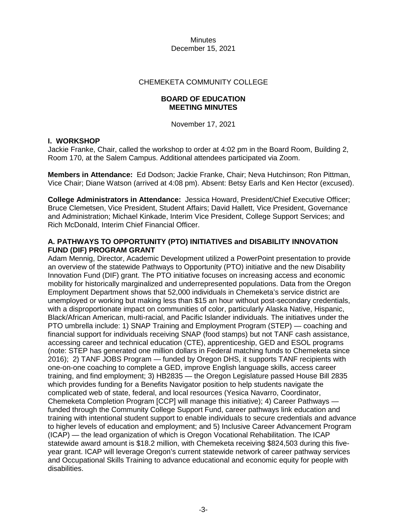#### CHEMEKETA COMMUNITY COLLEGE

## **BOARD OF EDUCATION MEETING MINUTES**

November 17, 2021

#### **I. WORKSHOP**

Jackie Franke, Chair, called the workshop to order at 4:02 pm in the Board Room, Building 2, Room 170, at the Salem Campus. Additional attendees participated via Zoom.

**Members in Attendance:** Ed Dodson; Jackie Franke, Chair; Neva Hutchinson; Ron Pittman, Vice Chair; Diane Watson (arrived at 4:08 pm). Absent: Betsy Earls and Ken Hector (excused).

**College Administrators in Attendance:** Jessica Howard, President/Chief Executive Officer; Bruce Clemetsen, Vice President, Student Affairs; David Hallett, Vice President, Governance and Administration; Michael Kinkade, Interim Vice President, College Support Services; and Rich McDonald, Interim Chief Financial Officer.

## **A. PATHWAYS TO OPPORTUNITY (PTO) INITIATIVES and DISABILITY INNOVATION FUND (DIF) PROGRAM GRANT**

Adam Mennig, Director, Academic Development utilized a PowerPoint presentation to provide an overview of the statewide Pathways to Opportunity (PTO) initiative and the new Disability Innovation Fund (DIF) grant. The PTO initiative focuses on increasing access and economic mobility for historically marginalized and underrepresented populations. Data from the Oregon Employment Department shows that 52,000 individuals in Chemeketa's service district are unemployed or working but making less than \$15 an hour without post-secondary credentials, with a disproportionate impact on communities of color, particularly Alaska Native, Hispanic, Black/African American, multi-racial, and Pacific Islander individuals. The initiatives under the PTO umbrella include: 1) SNAP Training and Employment Program (STEP) — coaching and financial support for individuals receiving SNAP (food stamps) but not TANF cash assistance, accessing career and technical education (CTE), apprenticeship, GED and ESOL programs (note: STEP has generated one million dollars in Federal matching funds to Chemeketa since 2016); 2) TANF JOBS Program — funded by Oregon DHS, it supports TANF recipients with one-on-one coaching to complete a GED, improve English language skills, access career training, and find employment; 3) HB2835 — the Oregon Legislature passed House Bill 2835 which provides funding for a Benefits Navigator position to help students navigate the complicated web of state, federal, and local resources (Yesica Navarro, Coordinator, Chemeketa Completion Program [CCP] will manage this initiative); 4) Career Pathways funded through the Community College Support Fund, career pathways link education and training with intentional student support to enable individuals to secure credentials and advance to higher levels of education and employment; and 5) Inclusive Career Advancement Program (ICAP) — the lead organization of which is Oregon Vocational Rehabilitation. The ICAP statewide award amount is \$18.2 million, with Chemeketa receiving \$824,503 during this fiveyear grant. ICAP will leverage Oregon's current statewide network of career pathway services and Occupational Skills Training to advance educational and economic equity for people with disabilities.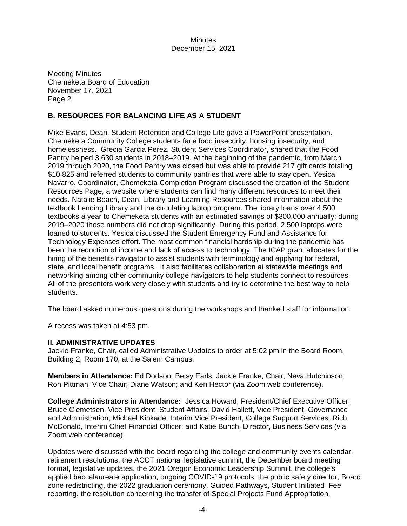Meeting Minutes Chemeketa Board of Education November 17, 2021 Page 2

# **B. RESOURCES FOR BALANCING LIFE AS A STUDENT**

Mike Evans, Dean, Student Retention and College Life gave a PowerPoint presentation. Chemeketa Community College students face food insecurity, housing insecurity, and homelessness. Grecia Garcia Perez, Student Services Coordinator, shared that the Food Pantry helped 3,630 students in 2018–2019. At the beginning of the pandemic, from March 2019 through 2020, the Food Pantry was closed but was able to provide 217 gift cards totaling \$10,825 and referred students to community pantries that were able to stay open. Yesica Navarro, Coordinator, Chemeketa Completion Program discussed the creation of the Student Resources Page, a website where students can find many different resources to meet their needs. Natalie Beach, Dean, Library and Learning Resources shared information about the textbook Lending Library and the circulating laptop program. The library loans over 4,500 textbooks a year to Chemeketa students with an estimated savings of \$300,000 annually; during 2019–2020 those numbers did not drop significantly. During this period, 2,500 laptops were loaned to students. Yesica discussed the Student Emergency Fund and Assistance for Technology Expenses effort. The most common financial hardship during the pandemic has been the reduction of income and lack of access to technology. The ICAP grant allocates for the hiring of the benefits navigator to assist students with terminology and applying for federal, state, and local benefit programs. It also facilitates collaboration at statewide meetings and networking among other community college navigators to help students connect to resources. All of the presenters work very closely with students and try to determine the best way to help students.

The board asked numerous questions during the workshops and thanked staff for information.

A recess was taken at 4:53 pm.

#### **II. ADMINISTRATIVE UPDATES**

Jackie Franke, Chair, called Administrative Updates to order at 5:02 pm in the Board Room, Building 2, Room 170, at the Salem Campus.

**Members in Attendance:** Ed Dodson; Betsy Earls; Jackie Franke, Chair; Neva Hutchinson; Ron Pittman, Vice Chair; Diane Watson; and Ken Hector (via Zoom web conference).

**College Administrators in Attendance:** Jessica Howard, President/Chief Executive Officer; Bruce Clemetsen, Vice President, Student Affairs; David Hallett, Vice President, Governance and Administration; Michael Kinkade, Interim Vice President, College Support Services; Rich McDonald, Interim Chief Financial Officer; and Katie Bunch, Director, Business Services (via Zoom web conference).

Updates were discussed with the board regarding the college and community events calendar, retirement resolutions, the ACCT national legislative summit, the December board meeting format, legislative updates, the 2021 Oregon Economic Leadership Summit, the college's applied baccalaureate application, ongoing COVID-19 protocols, the public safety director, Board zone redistricting, the 2022 graduation ceremony, Guided Pathways, Student Initiated Fee reporting, the resolution concerning the transfer of Special Projects Fund Appropriation,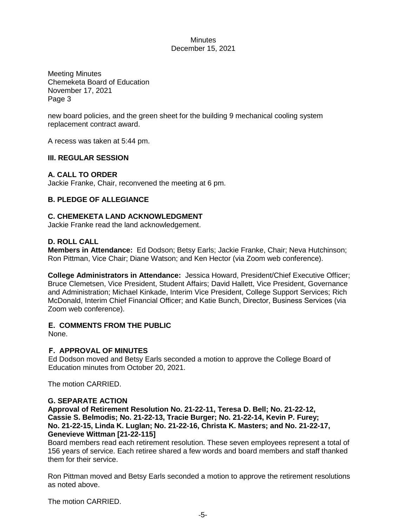Meeting Minutes Chemeketa Board of Education November 17, 2021 Page 3

new board policies, and the green sheet for the building 9 mechanical cooling system replacement contract award.

A recess was taken at 5:44 pm.

## **III. REGULAR SESSION**

# **A. CALL TO ORDER**

Jackie Franke, Chair, reconvened the meeting at 6 pm.

## **B. PLEDGE OF ALLEGIANCE**

## **C. CHEMEKETA LAND ACKNOWLEDGMENT**

Jackie Franke read the land acknowledgement.

## **D. ROLL CALL**

**Members in Attendance:** Ed Dodson; Betsy Earls; Jackie Franke, Chair; Neva Hutchinson; Ron Pittman, Vice Chair; Diane Watson; and Ken Hector (via Zoom web conference).

**College Administrators in Attendance:** Jessica Howard, President/Chief Executive Officer; Bruce Clemetsen, Vice President, Student Affairs; David Hallett, Vice President, Governance and Administration; Michael Kinkade, Interim Vice President, College Support Services; Rich McDonald, Interim Chief Financial Officer; and Katie Bunch, Director, Business Services (via Zoom web conference).

#### **E. COMMENTS FROM THE PUBLIC**

None.

#### **F. APPROVAL OF MINUTES**

Ed Dodson moved and Betsy Earls seconded a motion to approve the College Board of Education minutes from October 20, 2021.

The motion CARRIED.

#### **G. SEPARATE ACTION**

**Approval of Retirement Resolution No. 21-22-11, Teresa D. Bell; No. 21-22-12, Cassie S. Belmodis; No. 21-22-13, Tracie Burger; No. 21-22-14, Kevin P. Furey; No. 21-22-15, Linda K. Luglan; No. 21-22-16, Christa K. Masters; and No. 21-22-17, Genevieve Wittman [21-22-115]**

Board members read each retirement resolution. These seven employees represent a total of 156 years of service. Each retiree shared a few words and board members and staff thanked them for their service.

Ron Pittman moved and Betsy Earls seconded a motion to approve the retirement resolutions as noted above.

The motion CARRIED.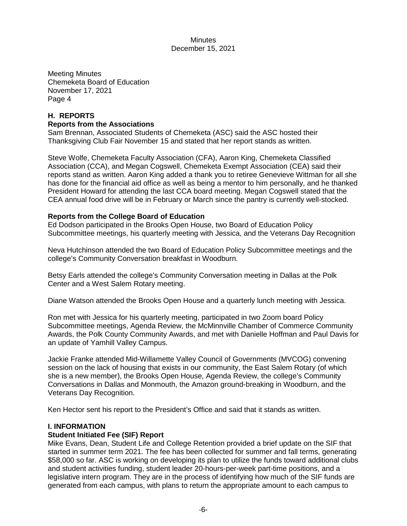Meeting Minutes Chemeketa Board of Education November 17, 2021 Page 4

# **H. REPORTS Reports from the Associations**

Sam Brennan, Associated Students of Chemeketa (ASC) said the ASC hosted their Thanksgiving Club Fair November 15 and stated that her report stands as written.

Steve Wolfe, Chemeketa Faculty Association (CFA), Aaron King, Chemeketa Classified Association (CCA), and Megan Cogswell, Chemeketa Exempt Association (CEA) said their reports stand as written. Aaron King added a thank you to retiree Genevieve Wittman for all she has done for the financial aid office as well as being a mentor to him personally, and he thanked President Howard for attending the last CCA board meeting. Megan Cogswell stated that the CEA annual food drive will be in February or March since the pantry is currently well-stocked.

# **Reports from the College Board of Education**

Ed Dodson participated in the Brooks Open House, two Board of Education Policy Subcommittee meetings, his quarterly meeting with Jessica, and the Veterans Day Recognition

Neva Hutchinson attended the two Board of Education Policy Subcommittee meetings and the college's Community Conversation breakfast in Woodburn.

Betsy Earls attended the college's Community Conversation meeting in Dallas at the Polk Center and a West Salem Rotary meeting.

Diane Watson attended the Brooks Open House and a quarterly lunch meeting with Jessica.

Ron met with Jessica for his quarterly meeting, participated in two Zoom board Policy Subcommittee meetings, Agenda Review, the McMinnville Chamber of Commerce Community Awards, the Polk County Community Awards, and met with Danielle Hoffman and Paul Davis for an update of Yamhill Valley Campus.

Jackie Franke attended Mid-Willamette Valley Council of Governments (MVCOG) convening session on the lack of housing that exists in our community, the East Salem Rotary (of which she is a new member), the Brooks Open House, Agenda Review, the college's Community Conversations in Dallas and Monmouth, the Amazon ground-breaking in Woodburn, and the Veterans Day Recognition.

Ken Hector sent his report to the President's Office and said that it stands as written.

#### **I. INFORMATION**

#### **Student Initiated Fee (SIF) Report**

Mike Evans, Dean, Student Life and College Retention provided a brief update on the SIF that started in summer term 2021. The fee has been collected for summer and fall terms, generating \$58,000 so far. ASC is working on developing its plan to utilize the funds toward additional clubs and student activities funding, student leader 20-hours-per-week part-time positions, and a legislative intern program. They are in the process of identifying how much of the SIF funds are generated from each campus, with plans to return the appropriate amount to each campus to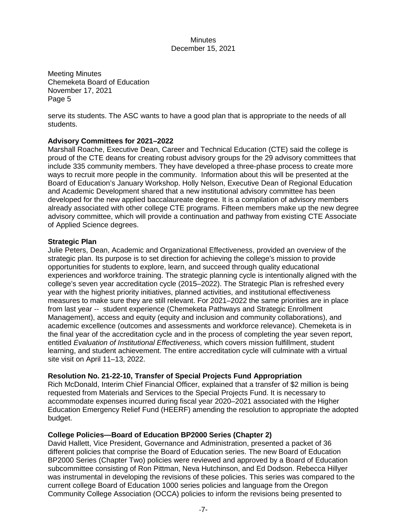Meeting Minutes Chemeketa Board of Education November 17, 2021 Page 5

serve its students. The ASC wants to have a good plan that is appropriate to the needs of all students.

## **Advisory Committees for 2021–2022**

Marshall Roache, Executive Dean, Career and Technical Education (CTE) said the college is proud of the CTE deans for creating robust advisory groups for the 29 advisory committees that include 335 community members. They have developed a three-phase process to create more ways to recruit more people in the community. Information about this will be presented at the Board of Education's January Workshop. Holly Nelson, Executive Dean of Regional Education and Academic Development shared that a new institutional advisory committee has been developed for the new applied baccalaureate degree. It is a compilation of advisory members already associated with other college CTE programs. Fifteen members make up the new degree advisory committee, which will provide a continuation and pathway from existing CTE Associate of Applied Science degrees.

## **Strategic Plan**

Julie Peters, Dean, Academic and Organizational Effectiveness, provided an overview of the strategic plan. Its purpose is to set direction for achieving the college's mission to provide opportunities for students to explore, learn, and succeed through quality educational experiences and workforce training. The strategic planning cycle is intentionally aligned with the college's seven year accreditation cycle (2015–2022). The Strategic Plan is refreshed every year with the highest priority initiatives, planned activities, and institutional effectiveness measures to make sure they are still relevant. For 2021–2022 the same priorities are in place from last year -- student experience (Chemeketa Pathways and Strategic Enrollment Management), access and equity (equity and inclusion and community collaborations), and academic excellence (outcomes and assessments and workforce relevance). Chemeketa is in the final year of the accreditation cycle and in the process of completing the year seven report, entitled *Evaluation of Institutional Effectiveness,* which covers mission fulfillment, student learning, and student achievement. The entire accreditation cycle will culminate with a virtual site visit on April 11–13, 2022.

#### **Resolution No. 21-22-10, Transfer of Special Projects Fund Appropriation**

Rich McDonald, Interim Chief Financial Officer, explained that a transfer of \$2 million is being requested from Materials and Services to the Special Projects Fund. It is necessary to accommodate expenses incurred during fiscal year 2020–2021 associated with the Higher Education Emergency Relief Fund (HEERF) amending the resolution to appropriate the adopted budget.

# **College Policies—Board of Education BP2000 Series (Chapter 2)**

David Hallett, Vice President, Governance and Administration, presented a packet of 36 different policies that comprise the Board of Education series. The new Board of Education BP2000 Series (Chapter Two) policies were reviewed and approved by a Board of Education subcommittee consisting of Ron Pittman, Neva Hutchinson, and Ed Dodson. Rebecca Hillyer was instrumental in developing the revisions of these policies. This series was compared to the current college Board of Education 1000 series policies and language from the Oregon Community College Association (OCCA) policies to inform the revisions being presented to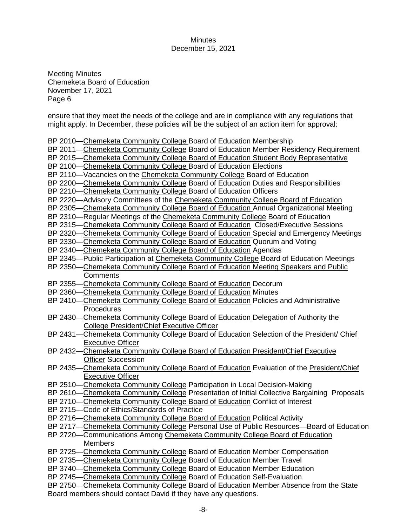Meeting Minutes Chemeketa Board of Education November 17, 2021 Page 6

ensure that they meet the needs of the college and are in compliance with any regulations that might apply. In December, these policies will be the subject of an action item for approval:

BP 2010—Chemeketa Community College Board of Education Membership

BP 2011—Chemeketa Community College Board of Education Member Residency Requirement

BP 2015—Chemeketa Community College Board of Education Student Body Representative

- BP 2100—Chemeketa Community College Board of Education Elections
- BP 2110—Vacancies on the Chemeketa Community College Board of Education
- BP 2200—Chemeketa Community College Board of Education Duties and Responsibilities
- BP 2210—Chemeketa Community College Board of Education Officers
- BP 2220—Advisory Committees of the Chemeketa Community College Board of Education
- BP 2305—Chemeketa Community College Board of Education Annual Organizational Meeting

BP 2310—Regular Meetings of the Chemeketa Community College Board of Education

- BP 2315—Chemeketa Community College Board of Education Closed/Executive Sessions
- BP 2320—Chemeketa Community College Board of Education Special and Emergency Meetings

BP 2330—Chemeketa Community College Board of Education Quorum and Voting

- BP 2340—Chemeketa Community College Board of Education Agendas
- BP 2345—Public Participation at Chemeketa Community College Board of Education Meetings
- BP 2350—Chemeketa Community College Board of Education Meeting Speakers and Public **Comments**
- BP 2355—Chemeketa Community College Board of Education Decorum
- BP 2360—Chemeketa Community College Board of Education Minutes
- BP 2410—Chemeketa Community College Board of Education Policies and Administrative **Procedures**
- BP 2430—Chemeketa Community College Board of Education Delegation of Authority the College President/Chief Executive Officer
- BP 2431—Chemeketa Community College Board of Education Selection of the President/ Chief Executive Officer
- BP 2432—Chemeketa Community College Board of Education President/Chief Executive Officer Succession
- BP 2435—Chemeketa Community College Board of Education Evaluation of the President/Chief Executive Officer
- BP 2510—Chemeketa Community College Participation in Local Decision-Making
- BP 2610—Chemeketa Community College Presentation of Initial Collective Bargaining Proposals
- BP 2710—Chemeketa Community College Board of Education Conflict of Interest
- BP 2715—Code of Ethics/Standards of Practice
- BP 2716—Chemeketa Community College Board of Education Political Activity
- BP 2717—Chemeketa Community College Personal Use of Public Resources—Board of Education
- BP 2720—Communications Among Chemeketa Community College Board of Education **Members**
- BP 2725—Chemeketa Community College Board of Education Member Compensation
- BP 2735—Chemeketa Community College Board of Education Member Travel
- BP 3740—Chemeketa Community College Board of Education Member Education
- BP 2745—Chemeketa Community College Board of Education Self-Evaluation
- BP 2750—Chemeketa Community College Board of Education Member Absence from the State Board members should contact David if they have any questions.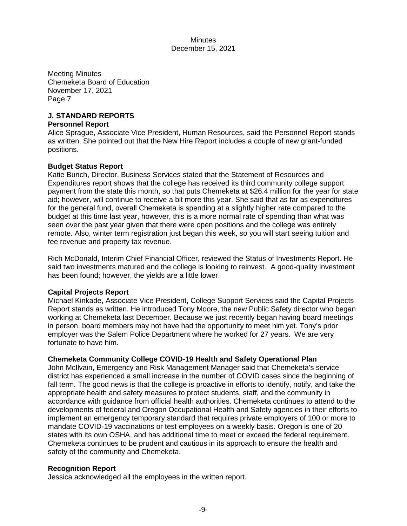Meeting Minutes Chemeketa Board of Education November 17, 2021 Page 7

# **J. STANDARD REPORTS**

#### **Personnel Report**

Alice Sprague, Associate Vice President, Human Resources, said the Personnel Report stands as written. She pointed out that the New Hire Report includes a couple of new grant-funded positions.

## **Budget Status Report**

Katie Bunch, Director, Business Services stated that the Statement of Resources and Expenditures report shows that the college has received its third community college support payment from the state this month, so that puts Chemeketa at \$26.4 million for the year for state aid; however, will continue to receive a bit more this year. She said that as far as expenditures for the general fund, overall Chemeketa is spending at a slightly higher rate compared to the budget at this time last year, however, this is a more normal rate of spending than what was seen over the past year given that there were open positions and the college was entirely remote. Also, winter term registration just began this week, so you will start seeing tuition and fee revenue and property tax revenue.

Rich McDonald, Interim Chief Financial Officer, reviewed the Status of Investments Report. He said two investments matured and the college is looking to reinvest. A good-quality investment has been found; however, the yields are a little lower.

# **Capital Projects Report**

Michael Kinkade, Associate Vice President, College Support Services said the Capital Projects Report stands as written. He introduced Tony Moore, the new Public Safety director who began working at Chemeketa last December. Because we just recently began having board meetings in person, board members may not have had the opportunity to meet him yet. Tony's prior employer was the Salem Police Department where he worked for 27 years. We are very fortunate to have him.

# **Chemeketa Community College COVID-19 Health and Safety Operational Plan**

John McIlvain, Emergency and Risk Management Manager said that Chemeketa's service district has experienced a small increase in the number of COVID cases since the beginning of fall term. The good news is that the college is proactive in efforts to identify, notify, and take the appropriate health and safety measures to protect students, staff, and the community in accordance with guidance from official health authorities. Chemeketa continues to attend to the developments of federal and Oregon Occupational Health and Safety agencies in their efforts to implement an emergency temporary standard that requires private employers of 100 or more to mandate COVID-19 vaccinations or test employees on a weekly basis. Oregon is one of 20 states with its own OSHA, and has additional time to meet or exceed the federal requirement. Chemeketa continues to be prudent and cautious in its approach to ensure the health and safety of the community and Chemeketa.

#### **Recognition Report**

Jessica acknowledged all the employees in the written report.